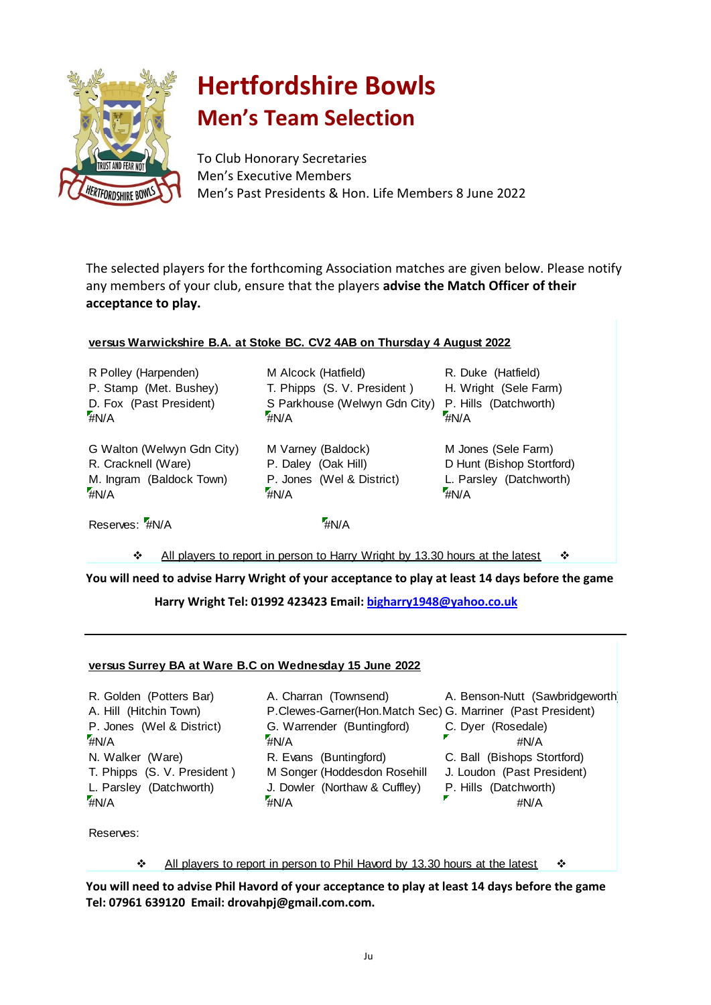

## **Hertfordshire Bowls Men's Team Selection**

To Club Honorary Secretaries Men's Executive Members Men's Past Presidents & Hon. Life Members 8 June 2022

The selected players for the forthcoming Association matches are given below. Please notify any members of your club, ensure that the players **advise the Match Officer of their acceptance to play.**

## **versus Warwickshire B.A. at Stoke BC. CV2 4AB on Thursday 4 August 2022**

R Polley (Harpenden) M Alcock (Hatfield)  $^{\prime\prime}$ #N/A  $^{\prime\prime}$ #N/A

R. Cracknell (Ware) P. Daley (Oak Hill) M. Ingram (Baldock Town) G Walton (Welwyn Gdn City) M Varney (Baldock)  $^{\prime}$ #N/A

D. Fox (Past President) S Parkhouse (Welwyn Gdn City) P. Stamp (Met. Bushey) T. Phipps (S. V. President)

> #N/A P. Jones (Wel & District)

R. Duke (Hatfield) H. Wright (Sele Farm) P. Hills (Datchworth) #N/A

M Jones (Sele Farm) D Hunt (Bishop Stortford) L. Parsley (Datchworth) #N/A

Reserves: #N/A  $^{\prime}$ #N/A  $^{\prime\prime}$ #N/A  $^{\prime\prime}$ 

All players to report in person to Harry Wright by 13.30 hours at the latest

**You will need to advise Harry Wright of your acceptance to play at least 14 days before the game**

 **Harry Wright Tel: 01992 423423 Email: [bigharry1948@yahoo.co.uk](mailto:bigharry1948@yahoo.co.uk)**

## **versus Surrey BA at Ware B.C on Wednesday 15 June 2022**

P. Jones (Wel & District) G. Warrender (Buntingford) R. Golden (Potters Bar) A. Charran (Townsend)  $\frac{1}{4}N/A$   $\frac{1}{4}N/A$ T. Phipps (S. V. President )  $\frac{1}{4}N/A$   $\frac{1}{4}N/A$ N. Walker (Ware) R. Evans (Buntingford)

A. Hill (Hitchin Town) P.Clewes-Garner(Hon.Match Sec) G. Marriner (Past President) M Songer (Hoddesdon Rosehill L. Parsley (Datchworth) J. Dowler (Northaw & Cuffley)

A. Benson-Nutt (Sawbridgeworth)

- 
- C. Dyer (Rosedale)
	- #N/A
- C. Ball (Bishops Stortford)
- J. Loudon (Past President)
- P. Hills (Datchworth)
	- #N/A

Reserves:

 $\div$  All players to report in person to Phil Havord by 13.30 hours at the latest

**You will need to advise Phil Havord of your acceptance to play at least 14 days before the game Tel: 07961 639120 Email: drovahpj@gmail.com.com.**